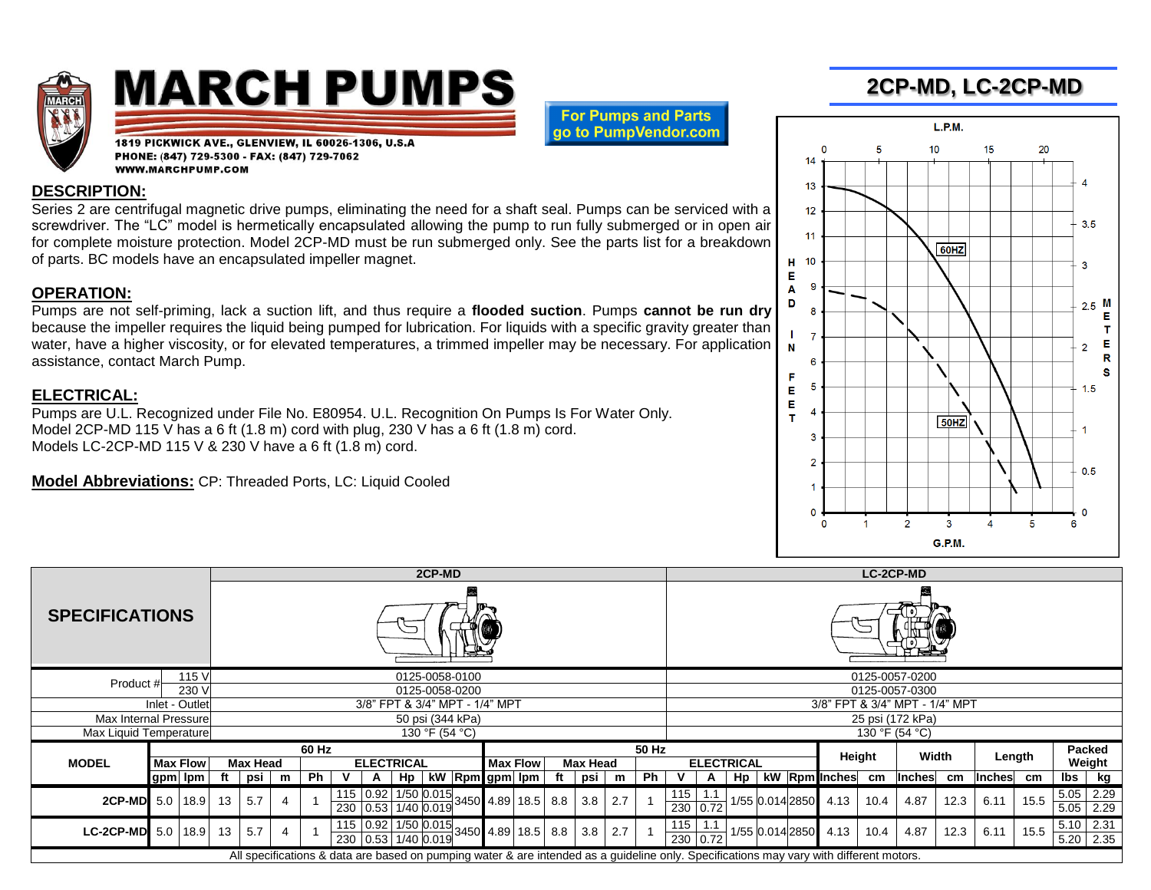

# **MARCH PUMPS**

**For Pumps and Parts** go to PumpVendor.com

1819 PICKWICK AVE., GLENVIEW, IL 60026-1306, U.S.A PHONE: (847) 729-5300 - FAX: (847) 729-7062 **WWW.MARCHPUMP.COM** 

#### **DESCRIPTION:**

Series 2 are centrifugal magnetic drive pumps, eliminating the need for a shaft seal. Pumps can be serviced with a screwdriver. The "LC" model is hermetically encapsulated allowing the pump to run fully submerged or in open air for complete moisture protection. Model 2CP-MD must be run submerged only. See the parts list for a breakdown of parts. BC models have an encapsulated impeller magnet.

#### **OPERATION:**

Pumps are not self-priming, lack a suction lift, and thus require a **flooded suction**. Pumps **cannot be run dry** because the impeller requires the liquid being pumped for lubrication. For liquids with a specific gravity greater than water, have a higher viscosity, or for elevated temperatures, a trimmed impeller may be necessary. For application assistance, contact March Pump.

### **ELECTRICAL:**

Pumps are U.L. Recognized under File No. E80954. U.L. Recognition On Pumps Is For Water Only. Model 2CP-MD 115 V has a 6 ft  $(1.8 \text{ m})$  cord with plug, 230 V has a 6 ft  $(1.8 \text{ m})$  cord. Models LC-2CP-MD 115 V & 230 V have a 6 ft (1.8 m) cord.

**Model Abbreviations:** CP: Threaded Ports, LC: Liquid Cooled



|                                                                                                                                         |                                |                 |            | 2CP-MD          |   |    |                   |                     |    |                                                                                          |                                    |  |  | <b>LC-2CP-MD</b> |                   |     |    |     |          |    |                 |                 |               |      |               |      |        |      |      |             |
|-----------------------------------------------------------------------------------------------------------------------------------------|--------------------------------|-----------------|------------|-----------------|---|----|-------------------|---------------------|----|------------------------------------------------------------------------------------------|------------------------------------|--|--|------------------|-------------------|-----|----|-----|----------|----|-----------------|-----------------|---------------|------|---------------|------|--------|------|------|-------------|
| <b>SPECIFICATIONS</b>                                                                                                                   |                                |                 |            |                 |   |    |                   |                     |    |                                                                                          |                                    |  |  |                  |                   |     |    |     |          |    |                 |                 |               |      |               |      |        |      |      |             |
| 115 V<br>Product #                                                                                                                      |                                |                 |            | 0125-0058-0100  |   |    |                   |                     |    |                                                                                          |                                    |  |  | 0125-0057-0200   |                   |     |    |     |          |    |                 |                 |               |      |               |      |        |      |      |             |
| 230 V                                                                                                                                   |                                |                 |            | 0125-0058-0200  |   |    |                   |                     |    |                                                                                          |                                    |  |  |                  | 0125-0057-0300    |     |    |     |          |    |                 |                 |               |      |               |      |        |      |      |             |
| Inlet - Outlet                                                                                                                          | 3/8" FPT & 3/4" MPT - 1/4" MPT |                 |            |                 |   |    |                   |                     |    |                                                                                          | 3/8" FPT & 3/4" MPT - 1/4" MPT     |  |  |                  |                   |     |    |     |          |    |                 |                 |               |      |               |      |        |      |      |             |
| Max Internal Pressure                                                                                                                   | 50 psi (344 kPa)               |                 |            |                 |   |    |                   |                     |    |                                                                                          | 25 psi (172 kPa)                   |  |  |                  |                   |     |    |     |          |    |                 |                 |               |      |               |      |        |      |      |             |
| Max Liquid Temperature                                                                                                                  |                                |                 |            | 130 °F (54 °C)  |   |    |                   |                     |    |                                                                                          |                                    |  |  |                  | 130 °F (54 °C)    |     |    |     |          |    |                 |                 |               |      |               |      |        |      |      |             |
|                                                                                                                                         |                                |                 |            | 60 Hz           |   |    |                   |                     |    |                                                                                          | 50 Hz                              |  |  |                  |                   |     |    |     |          |    | Height          |                 | Width         |      | Length        |      | Packed |      |      |             |
| <b>MODEL</b>                                                                                                                            |                                | <b>Max Flow</b> |            | <b>Max Head</b> |   |    | <b>ELECTRICAL</b> |                     |    |                                                                                          | <b>Max Flow</b><br><b>Max Head</b> |  |  |                  | <b>ELECTRICAL</b> |     |    |     |          |    |                 |                 |               |      | Weight        |      |        |      |      |             |
|                                                                                                                                         | gpm lpm                        |                 | ft         | psi             | m | Ph |                   | A                   | Hp |                                                                                          | kW Rpm gpm lpm                     |  |  |                  | psi               | m   | Ph |     | A        | Hp |                 |                 | kW Rpm Inches | cm   | <b>Inches</b> | cm   | Inches | cm   | lbs  | kg          |
| 2CP-MD 5.0                                                                                                                              |                                | 18.9            | 13         | 5.7             |   |    |                   |                     |    |                                                                                          |                                    |  |  |                  | 3.8               | 2.7 |    | 115 |          |    |                 | 1/55 0.014 2850 | 4.13          | 10.4 | 4.87          | 12.3 | 6.11   | 15.5 | 5.05 | 2.29        |
|                                                                                                                                         |                                |                 |            |                 |   |    |                   |                     |    |                                                                                          |                                    |  |  |                  |                   |     |    |     | 230 0.72 |    |                 |                 |               |      |               |      |        |      |      | $5.05$ 2.29 |
| <b>LC-2CP-MD</b>                                                                                                                        |                                |                 | 13<br>18.9 | 5.7             |   |    |                   |                     |    | $\frac{115}{10.92}$ $\frac{1/50}{1.15}$ $\frac{0.015}{0.015}$ 3450 4.89 18.5 8.8 3.8 3.8 |                                    |  |  |                  |                   |     |    | 115 |          |    | 1/55 0.014 2850 |                 |               |      |               |      |        |      |      | $5.10$ 2.31 |
|                                                                                                                                         | 5.0                            |                 |            |                 |   |    |                   | 230 0.53 1/40 0.019 |    |                                                                                          |                                    |  |  |                  |                   | 2.7 |    |     | 230 0.72 |    |                 |                 | 4.13          | 10.4 | 4.87          | 12.3 | 6.11   | 15.5 |      | $5.20$ 2.35 |
| All specifications & data are based on pumping water & are intended as a guideline only. Specifications may vary with different motors. |                                |                 |            |                 |   |    |                   |                     |    |                                                                                          |                                    |  |  |                  |                   |     |    |     |          |    |                 |                 |               |      |               |      |        |      |      |             |

## **2CP-MD, LC-2CP-MD**